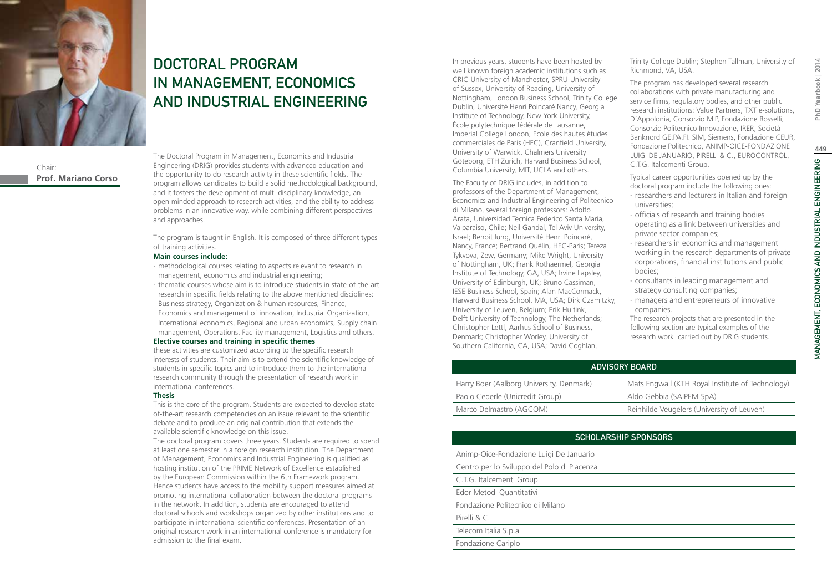

### Chair: **Prof. Mariano Corso**

DOCTORAL PROGRAM IN MANAGEMENT, ECONOMICS AND INDUSTRIAL ENGINEERING

The Doctoral Program in Management, Economics and Industrial Engineering (DRIG) provides students with advanced education and the opportunity to do research activity in these scientific fields. The program allows candidates to build a solid methodological background, and it fosters the development of multi-disciplinary knowledge, an open minded approach to research activities, and the ability to address problems in an innovative way, while combining different perspectives and approaches.

The program is taught in English. It is composed of three different types of training activities.

#### **Main courses include:**

- ∙ methodological courses relating to aspects relevant to research in management, economics and industrial engineering;
- ∙ thematic courses whose aim is to introduce students in state-of-the-art research in specific fields relating to the above mentioned disciplines: Business strategy, Organization & human resources, Finance, Economics and management of innovation, Industrial Organization, International economics, Regional and urban economics, Supply chain management, Operations, Facility management, Logistics and others.

### **Elective courses and training in specific themes**

these activities are customized according to the specific research interests of students. Their aim is to extend the scientific knowledge of students in specific topics and to introduce them to the international research community through the presentation of research work in international conferences.

#### **Thesis**

This is the core of the program. Students are expected to develop stateof-the-art research competencies on an issue relevant to the scientific debate and to produce an original contribution that extends the available scientific knowledge on this issue.

The doctoral program covers three years. Students are required to spend at least one semester in a foreign research institution. The Department of Management, Economics and Industrial Engineering is qualified as hosting institution of the PRIME Network of Excellence established by the European Commission within the 6th Framework program. Hence students have access to the mobility support measures aimed at promoting international collaboration between the doctoral programs in the network. In addition, students are encouraged to attend doctoral schools and workshops organized by other institutions and to participate in international scientific conferences. Presentation of an original research work in an international conference is mandatory for admission to the final exam.

In previous years, students have been hosted by well known foreign academic institutions such as CRIC-University of Manchester, SPRU-University of Sussex, University of Reading, University of Nottingham, London Business School, Trinity College Dublin, Université Henri Poincaré Nancy, Georgia Institute of Technology, New York University, École polytechnique fédérale de Lausanne, Imperial College London, Ecole des hautes ètudes commerciales de Paris (HEC), Cranfield University, University of Warwick, Chalmers University Göteborg, ETH Zurich, Harvard Business School, Columbia University, MIT, UCLA and others.

The Faculty of DRIG includes, in addition to professors of the Department of Management, Economics and Industrial Engineering of Politecnico di Milano, several foreign professors: Adolfo Arata, Universidad Tecnica Federico Santa Maria, Valparaiso, Chile; Neil Gandal, Tel Aviv University, Israel; Benoit Iung, Université Henri Poincaré, Nancy, France; Bertrand Quélin, HEC-Paris; Tereza Tykvova, Zew, Germany; Mike Wright, University of Nottingham, UK; Frank Rothaermel, Georgia Institute of Technology, GA, USA; Irvine Lapsley, University of Edinburgh, UK; Bruno Cassiman, IESE Business School, Spain; Alan MacCormack, Harward Business School, MA, USA; Dirk Czamitzky, University of Leuven, Belgium; Erik Hultink, Delft University of Technology, The Netherlands; Christopher Lettl, Aarhus School of Business, Denmark; Christopher Worley, University of Southern California, CA, USA; David Coghlan,

Trinity College Dublin; Stephen Tallman, University of Richmond, VA, USA.

The program has developed several research collaborations with private manufacturing and service firms, regulatory bodies, and other public research institutions: Value Partners, TXT e-solutions, D'Appolonia, Consorzio MIP, Fondazione Rosselli, Consorzio Politecnico Innovazione, IRER, Società Banknord GE.PA.FI. SIM, Siemens, Fondazione CEUR, Fondazione Politecnico, ANIMP-OICE-FONDAZIONE LUIGI DE JANUARIO, PIRELLI & C., EUROCONTROL, C.T.G. Italcementi Group.

Typical career opportunities opened up by the doctoral program include the following ones:

- ∙ researchers and lecturers in Italian and foreign universities;
- ∙ officials of research and training bodies operating as a link between universities and private sector companies;
- ∙ researchers in economics and management working in the research departments of private corporations, financial institutions and public bodies;
- ∙ consultants in leading management and strategy consulting companies;
- ∙ managers and entrepreneurs of innovative companies.

The research projects that are presented in the following section are typical examples of the research work carried out by DRIG students.

| ADVISORY BOARD                           |                                                  |
|------------------------------------------|--------------------------------------------------|
| Harry Boer (Aalborg University, Denmark) | Mats Engwall (KTH Royal Institute of Technology) |
| Paolo Cederle (Unicredit Group)          | Aldo Gebbia (SAIPEM SpA)                         |
| Marco Delmastro (AGCOM)                  | Reinhilde Veugelers (University of Leuven)       |

### Scholarship Sponsors

| Animp-Oice-Fondazione Luigi De Januario     |
|---------------------------------------------|
| Centro per lo Sviluppo del Polo di Piacenza |
| C.T.G. Italcementi Group                    |
| Edor Metodi Quantitativi                    |
| Fondazione Politecnico di Milano            |
| Pirelli & C.                                |
| Telecom Italia S.p.a                        |
| Fondazione Cariplo                          |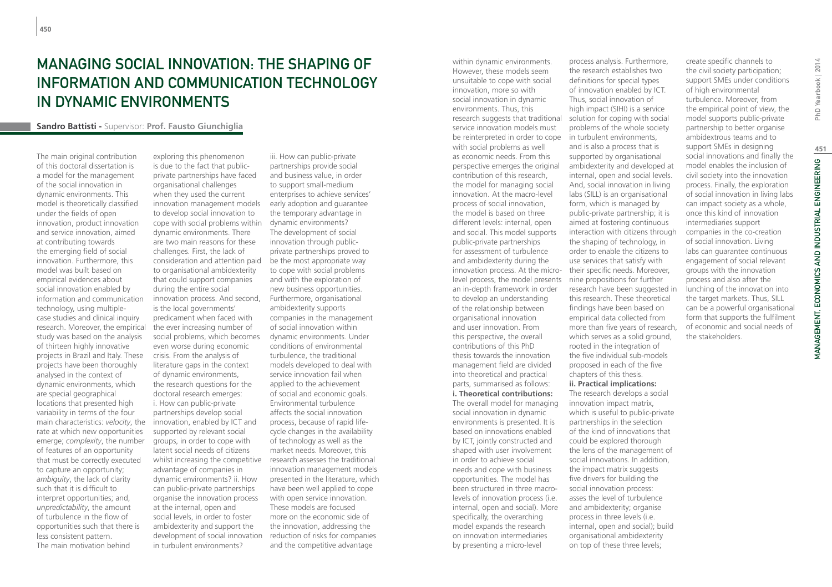# Managing Social Innovation: The Shaping of Information and Communication Technology in Dynamic Environments

#### **Sandro Battisti -** Supervisor: **Prof. Fausto Giunchiglia**

The main original contribution of this doctoral dissertation is a model for the management of the social innovation in dynamic environments. This model is theoretically classified under the fields of open innovation, product innovation and service innovation, aimed at contributing towards the emerging field of social innovation. Furthermore, this model was built based on empirical evidences about social innovation enabled by information and communication technology, using multiplecase studies and clinical inquiry research. Moreover, the empirical study was based on the analysis of thirteen highly innovative projects in Brazil and Italy. These projects have been thoroughly analysed in the context of dynamic environments, which are special geographical locations that presented high variability in terms of the four main characteristics: *velocity*, the rate at which new opportunities emerge; *complexity*, the number of features of an opportunity that must be correctly executed to capture an opportunity; *ambiguity*, the lack of clarity such that it is difficult to interpret opportunities; and, *unpredictability*, the amount of turbulence in the flow of opportunities such that there is less consistent pattern. The main motivation behind

exploring this phenomenon is due to the fact that publicprivate partnerships have faced organisational challenges when they used the current innovation management models to develop social innovation to cope with social problems within dynamic environments. There are two main reasons for these challenges. First, the lack of consideration and attention paid to organisational ambidexterity that could support companies during the entire social innovation process. And second, is the local governments' predicament when faced with the ever increasing number of social problems, which becomes even worse during economic crisis. From the analysis of literature gaps in the context of dynamic environments, the research questions for the doctoral research emerges: i. How can public-private partnerships develop social innovation, enabled by ICT and supported by relevant social groups, in order to cope with latent social needs of citizens whilst increasing the competitive research assesses the traditional advantage of companies in dynamic environments? ii. How can public-private partnerships organise the innovation process at the internal, open and social levels, in order to foster ambidexterity and support the development of social innovation in turbulent environments?

iii. How can public-private partnerships provide social and business value, in order to support small-medium enterprises to achieve services' early adoption and guarantee the temporary advantage in dynamic environments? The development of social innovation through publicprivate partnerships proved to be the most appropriate way to cope with social problems and with the exploration of new business opportunities. Furthermore, organisational ambidexterity supports companies in the management of social innovation within dynamic environments. Under conditions of environmental turbulence, the traditional models developed to deal with service innovation fail when applied to the achievement of social and economic goals. Environmental turbulence affects the social innovation process, because of rapid lifecycle changes in the availability of technology as well as the market needs. Moreover, this innovation management models presented in the literature, which have been well applied to cope with open service innovation. These models are focused more on the economic side of the innovation, addressing the reduction of risks for companies and the competitive advantage

within dynamic environments. However, these models seem unsuitable to cope with social innovation, more so with social innovation in dynamic environments. Thus, this research suggests that traditional service innovation models must be reinterpreted in order to cope in turbulent environments, with social problems as well as economic needs. From this perspective emerges the original contribution of this research, the model for managing social innovation. At the macro-level process of social innovation, the model is based on three different levels: internal, open and social. This model supports public-private partnerships for assessment of turbulence and ambidexterity during the innovation process. At the micro-their specific needs. Moreover, level process, the model presents nine propositions for further an in-depth framework in order to develop an understanding of the relationship between organisational innovation and user innovation. From this perspective, the overall contributions of this PhD thesis towards the innovation management field are divided into theoretical and practical parts, summarised as follows: **i. Theoretical contributions:**  The overall model for managing social innovation in dynamic environments is presented. It is based on innovations enabled by ICT, jointly constructed and shaped with user involvement in order to achieve social needs and cope with business opportunities. The model has been structured in three macrolevels of innovation process (i.e. internal, open and social). More specifically, the overarching model expands the research on innovation intermediaries by presenting a micro-level

process analysis. Furthermore, the research establishes two definitions for special types of innovation enabled by ICT. Thus, social innovation of high impact (SIHI) is a service solution for coping with social problems of the whole society and is also a process that is supported by organisational ambidexterity and developed at internal, open and social levels. And, social innovation in living labs (SILL) is an organisational form, which is managed by public-private partnership; it is aimed at fostering continuous interaction with citizens through the shaping of technology, in order to enable the citizens to use services that satisfy with research have been suggested in this research. These theoretical findings have been based on empirical data collected from more than five years of research, which serves as a solid ground. rooted in the integration of the five individual sub-models proposed in each of the five chapters of this thesis. **ii. Practical implications:** The research develops a social innovation impact matrix, which is useful to public-private partnerships in the selection of the kind of innovations that could be explored thorough the lens of the management of social innovations. In addition, the impact matrix suggests five drivers for building the

social innovation process: asses the level of turbulence and ambidexterity; organise process in three levels (i.e. internal, open and social); build organisational ambidexterity on top of these three levels;

create specific channels to the civil society participation; support SMEs under conditions of high environmental turbulence. Moreover, from the empirical point of view, the model supports public-private partnership to better organise ambidextrous teams and to support SMEs in designing social innovations and finally the model enables the inclusion of civil society into the innovation process. Finally, the exploration of social innovation in living labs can impact society as a whole, once this kind of innovation intermediaries support companies in the co-creation of social innovation. Living labs can guarantee continuous engagement of social relevant groups with the innovation process and also after the lunching of the innovation into the target markets. Thus, SILL can be a powerful organisational form that supports the fulfilment of economic and social needs of the stakeholders.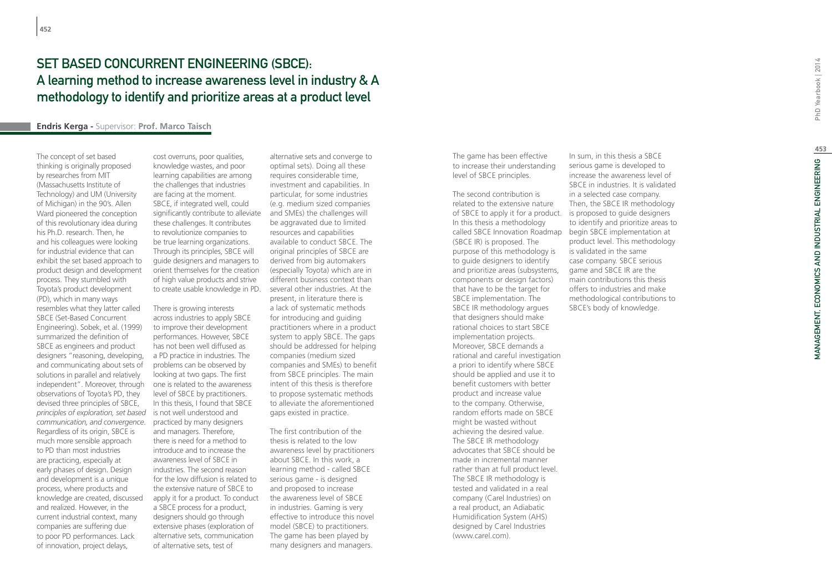## SET BASED CONCURRENT ENGINEERING (SBCE): A learning method to increase awareness level in industry & A methodology to identify and prioritize areas at a product level

### **Endris Kerga -** Supervisor: **Prof. Marco Taisch**

The concept of set based thinking is originally proposed by researches from MIT (Massachusetts Institute of Technology) and UM (University of Michigan) in the 90's. Allen Ward pioneered the conception of this revolutionary idea during his Ph.D. research. Then, he and his colleagues were looking for industrial evidence that can exhibit the set based approach to product design and development process. They stumbled with Toyota's product development (PD), which in many ways resembles what they latter called SBCE (Set-Based Concurrent Engineering). Sobek, et al. (1999) summarized the definition of SBCE as engineers and product designers "reasoning, developing, and communicating about sets of solutions in parallel and relatively independent". Moreover, through observations of Toyota's PD, they devised three principles of SBCE, *principles of exploration, set based*  is not well understood and *communication, and convergence*. practiced by many designers Regardless of its origin, SBCE is much more sensible approach to PD than most industries are practicing, especially at early phases of design. Design and development is a unique process, where products and knowledge are created, discussed and realized. However, in the current industrial context, many companies are suffering due to poor PD performances. Lack of innovation, project delays,

cost overruns, poor qualities, knowledge wastes, and poor learning capabilities are among the challenges that industries are facing at the moment. SBCE, if integrated well, could significantly contribute to alleviate these challenges. It contributes to revolutionize companies to be true learning organizations. Through its principles, SBCE will guide designers and managers to orient themselves for the creation of high value products and strive to create usable knowledge in PD.

There is growing interests across industries to apply SBCE to improve their development performances. However, SBCE has not been well diffused as a PD practice in industries. The problems can be observed by looking at two gaps. The first one is related to the awareness level of SBCE by practitioners. In this thesis, I found that SBCE and managers. Therefore, there is need for a method to introduce and to increase the awareness level of SBCE in industries. The second reason for the low diffusion is related to the extensive nature of SBCE to apply it for a product. To conduct a SBCE process for a product, designers should go through extensive phases (exploration of alternative sets, communication of alternative sets, test of

alternative sets and converge to optimal sets). Doing all these requires considerable time, investment and capabilities. In particular, for some industries (e.g. medium sized companies and SMEs) the challenges will be aggravated due to limited resources and capabilities available to conduct SBCE. The original principles of SBCE are derived from big automakers (especially Toyota) which are in different business context than several other industries. At the present, in literature there is a lack of systematic methods for introducing and guiding practitioners where in a product system to apply SBCE. The gaps should be addressed for helping companies (medium sized companies and SMEs) to benefit from SBCE principles. The main intent of this thesis is therefore to propose systematic methods to alleviate the aforementioned gaps existed in practice.

The first contribution of the thesis is related to the low awareness level by practitioners about SBCE. In this work, a learning method - called SBCE serious game - is designed and proposed to increase the awareness level of SBCE in industries. Gaming is very effective to introduce this novel model (SBCE) to practitioners. The game has been played by many designers and managers.

The game has been effective to increase their understanding level of SBCE principles.

The second contribution is related to the extensive nature of SBCE to apply it for a product. is proposed to guide designers In this thesis a methodology (SBCE IR) is proposed. The purpose of this methodology is to guide designers to identify and prioritize areas (subsystems, components or design factors) that have to be the target for SBCE implementation. The SBCE IR methodology argues that designers should make rational choices to start SBCE implementation projects. Moreover, SBCE demands a rational and careful investigation a priori to identify where SBCE should be applied and use it to benefit customers with better product and increase value to the company. Otherwise, random efforts made on SBCE might be wasted without achieving the desired value. The SBCE IR methodology advocates that SBCE should be made in incremental manner rather than at full product level. The SBCE IR methodology is tested and validated in a real company (Carel Industries) on a real product, an Adiabatic Humidification System (AHS) designed by Carel Industries (www.carel.com).

called SBCE Innovation Roadmap begin SBCE implementation at In sum, in this thesis a SBCE serious game is developed to increase the awareness level of SBCE in industries. It is validated in a selected case company. Then, the SBCE IR methodology to identify and prioritize areas to product level. This methodology is validated in the same case company. SBCE serious game and SBCE IR are the main contributions this thesis offers to industries and make methodological contributions to SBCE's body of knowledge.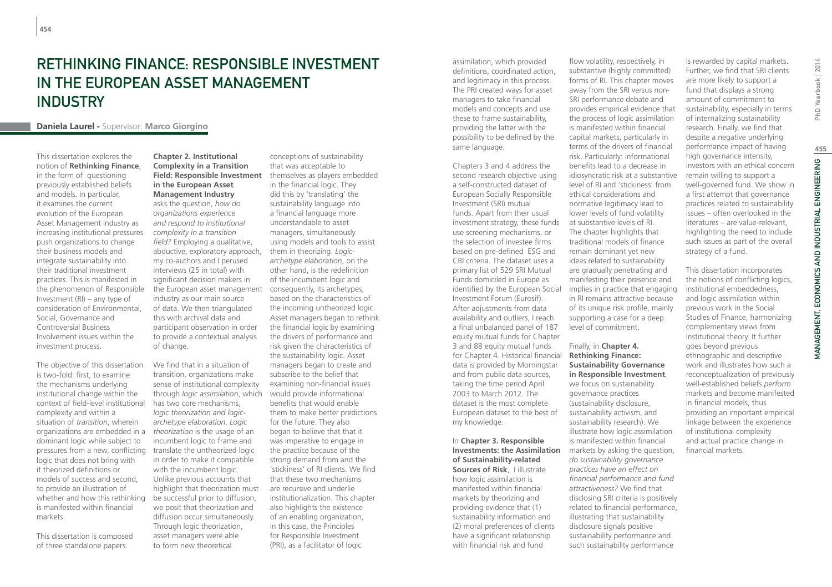# Rethinking Finance: Responsible Investment in the European Asset Management **INDUSTRY**

### **Daniela Laurel -** Supervisor: **Marco Giorgino**

This dissertation explores the notion of **Rethinking Finance**, in the form of questioning previously established beliefs and models. In particular, it examines the current evolution of the European Asset Management industry as increasing institutional pressures push organizations to change their business models and integrate sustainability into their traditional investment practices. This is manifested in the phenomenon of Responsible Investment (RI) – any type of consideration of Environmental, Social, Governance and Controversial Business Involvement issues within the investment process.

The objective of this dissertation is two-fold: first, to examine the mechanisms underlying institutional change within the context of field-level institutional complexity and within a situation of *transition*, wherein organizations are embedded in a dominant logic while subject to pressures from a new, conflicting logic that does not bring with it theorized definitions or models of success and second, to provide an illustration of whether and how this rethinking is manifested within financial markets.

This dissertation is composed of three standalone papers.

**Chapter 2. Institutional Complexity in a Transition Field: Responsible Investment in the European Asset Management Industry** asks the question, *how do organizations experience and respond to institutional complexity in a transition field?* Employing a qualitative, abductive, exploratory approach, my co-authors and I perused interviews (25 in total) with significant decision makers in the European asset management industry as our main source of data. We then triangulated this with archival data and participant observation in order to provide a contextual analysis of change.

We find that in a situation of transition, organizations make sense of institutional complexity through *logic assimilation*, which would provide informational has two core mechanisms, *logic theorization and logicarchetype elaboration*. *Logic theorization* is the usage of an incumbent logic to frame and translate the untheorized logic in order to make it compatible with the incumbent logic. Unlike previous accounts that highlight that theorization must be successful prior to diffusion, we posit that theorization and diffusion occur simultaneously. Through logic theorization, asset managers were able to form new theoretical

conceptions of sustainability that was acceptable to themselves as players embedded in the financial logic. They did this by 'translating' the sustainability language into a financial language more understandable to asset managers, simultaneously using models and tools to assist them in theorizing. *Logicarchetype elaboration*, on the other hand, is the redefinition of the incumbent logic and consequently, its archetypes, based on the characteristics of the incoming untheorized logic. Asset managers began to rethink the financial logic by examining the drivers of performance and risk given the characteristics of the sustainability logic. Asset managers began to create and subscribe to the belief that examining non-financial issues benefits that would enable them to make better predictions for the future. They also began to believe that that it was imperative to engage in the practice because of the strong demand from and the 'stickiness' of RI clients. We find that these two mechanisms are recursive and underlie institutionalization. This chapter also highlights the existence of an enabling organization, in this case, the Principles for Responsible Investment (PRI), as a facilitator of logic

assimilation, which provided definitions, coordinated action, and legitimacy in this process. The PRI created ways for asset managers to take financial models and concepts and use these to frame sustainability, providing the latter with the possibility to be defined by the same language.

Chapters 3 and 4 address the second research objective using a self-constructed dataset of European Socially Responsible Investment (SRI) mutual funds. Apart from their usual investment strategy, these funds use screening mechanisms, or the selection of investee firms based on pre-defined ESG and CBI criteria. The dataset uses a primary list of 529 SRI Mutual Funds domiciled in Europe as identified by the European Social Investment Forum (Eurosif). After adjustments from data availability and outliers, I reach a final unbalanced panel of 187 equity mutual funds for Chapter 3 and 88 equity mutual funds for Chapter 4. Historical financial data is provided by Morningstar and from public data sources, taking the time period April 2003 to March 2012. The dataset is the most complete European dataset to the best of my knowledge.

In **Chapter 3. Responsible Investments: the Assimilation**  markets by asking the question, **of Sustainability-related Sources of Risk**, I illustrate how logic assimilation is manifested within financial markets by theorizing and providing evidence that (1) sustainability information and (2) moral preferences of clients have a significant relationship with financial risk and fund

flow volatility, respectively, in substantive (highly committed) forms of RI. This chapter moves away from the SRI versus non-SRI performance debate and provides empirical evidence that the process of logic assimilation is manifested within financial capital markets, particularly in terms of the drivers of financial risk. Particularly: informational benefits lead to a decrease in idiosyncratic risk at a substantive level of RI and 'stickiness' from ethical considerations and normative legitimacy lead to lower levels of fund volatility at substantive levels of RI. The chapter highlights that traditional models of finance remain dominant yet new ideas related to sustainability are gradually penetrating and manifesting their presence and implies in practice that engaging in RI remains attractive because of its unique risk profile, mainly supporting a case for a deep level of commitment.

Finally, in **Chapter 4. Rethinking Finance: Sustainability Governance in Responsible Investment**, we focus on sustainability governance practices (sustainability disclosure, sustainability activism, and sustainability research). We illustrate how logic assimilation is manifested within financial *do sustainability governance practices have an effect on financial performance and fund attractiveness?* We find that disclosing SRI criteria is positively related to financial performance, illustrating that sustainability disclosure signals positive sustainability performance and such sustainability performance

is rewarded by capital markets. Further, we find that SRI clients are more likely to support a fund that displays a strong amount of commitment to sustainability, especially in terms of internalizing sustainability research. Finally, we find that despite a negative underlying performance impact of having high governance intensity, investors with an ethical concern remain willing to support a well-governed fund. We show in a first attempt that governance practices related to sustainability issues – often overlooked in the literatures – are value-relevant, highlighting the need to include such issues as part of the overall strategy of a fund.

This dissertation incorporates the notions of conflicting logics, institutional embeddedness, and logic assimilation within previous work in the Social Studies of Finance, harmonizing complementary views from Institutional theory. It further goes beyond previous ethnographic and descriptive work and illustrates how such a reconceptualization of previously well-established beliefs *perform* markets and become manifested in financial models, thus providing an important empirical linkage between the experience of institutional complexity and actual practice change in financial markets.

**455**

MANAGEMENT, ECONOMICS AND INDUSTRIAL ENGINEERING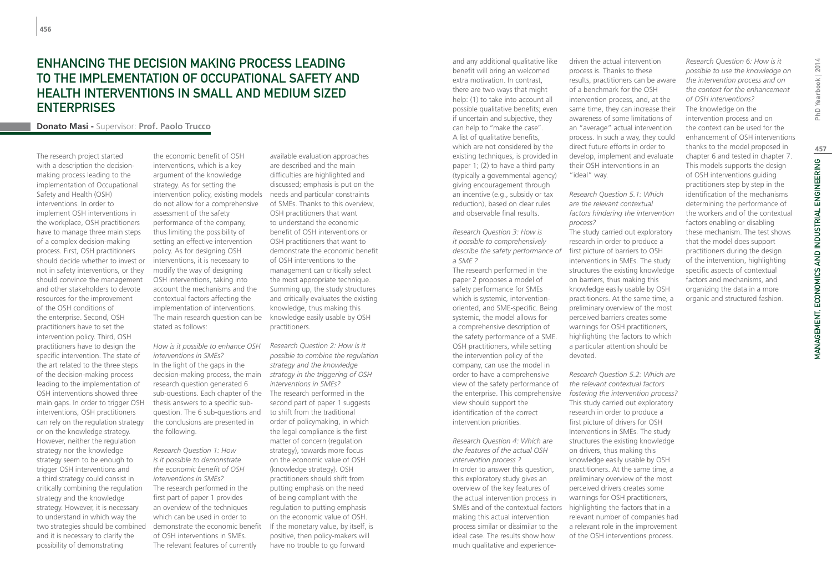### Enhancing the decision making process leading to the implementation of Occupational Safety and Health interventions in Small and Medium sized **ENTERPRISES**

**Donato Masi -** Supervisor: **Prof. Paolo Trucco**

The research project started with a description the decisionmaking process leading to the implementation of Occupational Safety and Health (OSH) interventions. In order to implement OSH interventions in the workplace, OSH practitioners have to manage three main steps of a complex decision-making process. First, OSH practitioners should decide whether to invest or not in safety interventions, or they should convince the management and other stakeholders to devote resources for the improvement of the OSH conditions of the enterprise. Second, OSH practitioners have to set the intervention policy. Third, OSH practitioners have to design the specific intervention. The state of the art related to the three steps of the decision-making process leading to the implementation of OSH interventions showed three main gaps. In order to trigger OSH interventions, OSH practitioners can rely on the regulation strategy or on the knowledge strategy. However, neither the regulation strategy nor the knowledge strategy seem to be enough to trigger OSH interventions and a third strategy could consist in critically combining the regulation strategy and the knowledge strategy. However, it is necessary to understand in which way the two strategies should be combined and it is necessary to clarify the possibility of demonstrating

the economic benefit of OSH interventions, which is a key argument of the knowledge strategy. As for setting the intervention policy, existing models do not allow for a comprehensive assessment of the safety performance of the company, thus limiting the possibility of setting an effective intervention policy. As for designing OSH interventions, it is necessary to modify the way of designing OSH interventions, taking into account the mechanisms and the contextual factors affecting the implementation of interventions. The main research question can be stated as follows:

*How is it possible to enhance OSH interventions in SMEs?* In the light of the gaps in the decision-making process, the main research question generated 6 sub-questions. Each chapter of the The research performed in the thesis answers to a specific subquestion. The 6 sub-questions and the conclusions are presented in the following.

*Research Question 1: How is it possible to demonstrate the economic benefit of OSH interventions in SMEs?* The research performed in the first part of paper 1 provides an overview of the techniques which can be used in order to demonstrate the economic benefit of OSH interventions in SMEs. The relevant features of currently

available evaluation approaches are described and the main difficulties are highlighted and discussed; emphasis is put on the needs and particular constraints of SMEs. Thanks to this overview, OSH practitioners that want to understand the economic benefit of OSH interventions or OSH practitioners that want to demonstrate the economic benefit of OSH interventions to the management can critically select the most appropriate technique. Summing up, the study structures and critically evaluates the existing knowledge, thus making this knowledge easily usable by OSH practitioners.

*Research Question 2: How is it possible to combine the regulation strategy and the knowledge strategy in the triggering of OSH interventions in SMEs?* second part of paper 1 suggests to shift from the traditional order of policymaking, in which the legal compliance is the first matter of concern (regulation strategy), towards more focus on the economic value of OSH (knowledge strategy). OSH practitioners should shift from putting emphasis on the need of being compliant with the regulation to putting emphasis on the economic value of OSH. If the monetary value, by itself, is positive, then policy-makers will have no trouble to go forward

and any additional qualitative like benefit will bring an welcomed extra motivation. In contrast, there are two ways that might help: (1) to take into account all possible qualitative benefits; even if uncertain and subjective, they can help to "make the case". A list of qualitative benefits, which are not considered by the existing techniques, is provided in paper 1; (2) to have a third party (typically a governmental agency) giving encouragement through an incentive (e.g., subsidy or tax reduction), based on clear rules and observable final results.

*Research Question 3: How is it possible to comprehensively describe the safety performance of*  first picture of barriers to OSH *a SME ?* 

The research performed in the paper 2 proposes a model of safety performance for SMEs which is systemic, interventionoriented, and SME-specific. Being systemic, the model allows for a comprehensive description of the safety performance of a SME. OSH practitioners, while setting the intervention policy of the company, can use the model in order to have a comprehensive view of the safety performance of the enterprise. This comprehensive view should support the identification of the correct intervention priorities.

*Research Question 4: Which are the features of the actual OSH intervention process ?*  In order to answer this question, this exploratory study gives an overview of the key features of the actual intervention process in SMEs and of the contextual factors highlighting the factors that in a making this actual intervention process similar or dissimilar to the ideal case. The results show how much qualitative and experience-

driven the actual intervention process is. Thanks to these results, practitioners can be aware of a benchmark for the OSH intervention process, and, at the same time, they can increase their awareness of some limitations of an "average" actual intervention process. In such a way, they could direct future efforts in order to develop, implement and evaluate their OSH interventions in an "ideal" way.

*Research Question 5.1: Which are the relevant contextual factors hindering the intervention process?* The study carried out exploratory research in order to produce a interventions in SMEs. The study structures the existing knowledge on barriers, thus making this knowledge easily usable by OSH practitioners. At the same time, a preliminary overview of the most perceived barriers creates some warnings for OSH practitioners, highlighting the factors to which a particular attention should be devoted.

*Research Question 5.2: Which are the relevant contextual factors fostering the intervention process?* This study carried out exploratory research in order to produce a first picture of drivers for OSH Interventions in SMEs. The study structures the existing knowledge on drivers, thus making this knowledge easily usable by OSH practitioners. At the same time, a preliminary overview of the most perceived drivers creates some warnings for OSH practitioners, relevant number of companies had a relevant role in the improvement of the OSH interventions process.

*possible to use the knowledge on the intervention process and on the context for the enhancement of OSH interventions?* The knowledge on the intervention process and on the context can be used for the enhancement of OSH interventions thanks to the model proposed in chapter 6 and tested in chapter 7. This models supports the design of OSH interventions guiding practitioners step by step in the identification of the mechanisms determining the performance of the workers and of the contextual factors enabling or disabling these mechanism. The test shows that the model does support practitioners during the design of the intervention, highlighting specific aspects of contextual factors and mechanisms, and organizing the data in a more organic and structured fashion.

*Research Question 6: How is it*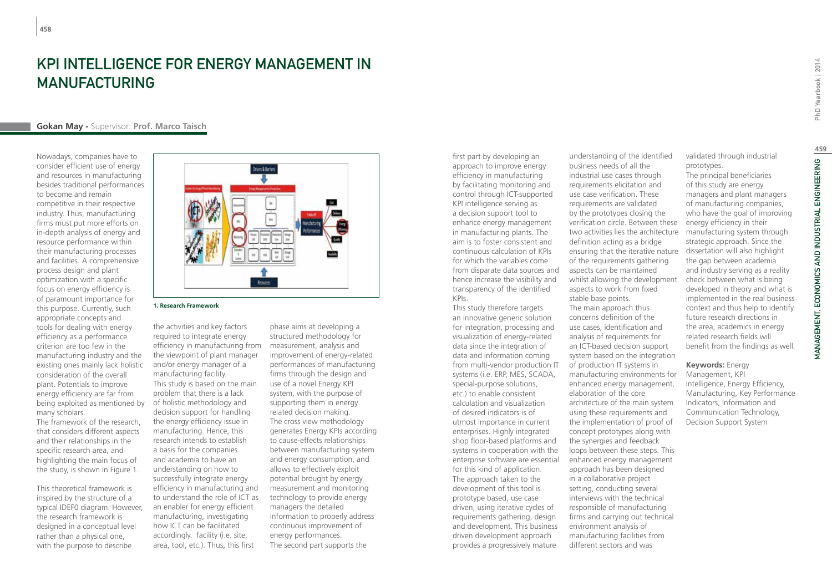# KPI Intelligence for Energy Management in Manufacturing

### **Gokan May -** Supervisor: **Prof. Marco Taisch**

Nowadays, companies have to consider efficient use of energy and resources in manufacturing besides traditional performances to become and remain competitive in their respective industry. Thus, manufacturing firms must put more efforts on in-depth analysis of energy and resource performance within their manufacturing processes and facilities. A comprehensive process design and plant optimization with a specific focus on energy efficiency is of paramount importance for this purpose. Currently, such appropriate concepts and tools for dealing with energy efficiency as a performance criterion are too few in the manufacturing industry and the existing ones mainly lack holistic consideration of the overall plant. Potentials to improve energy efficiency are far from being exploited as mentioned by of holistic methodology and many scholars.

The framework of the research, that considers different aspects and their relationships in the specific research area, and highlighting the main focus of the study, is shown in Figure 1.

This theoretical framework is inspired by the structure of a typical IDEF0 diagram. However, the research framework is designed in a conceptual level rather than a physical one, with the purpose to describe



#### **1. Research Framework**

the activities and key factors required to integrate energy efficiency in manufacturing from the viewpoint of plant manager and/or energy manager of a manufacturing facility. This study is based on the main problem that there is a lack decision support for handling the energy efficiency issue in manufacturing. Hence, this research intends to establish a basis for the companies and academia to have an understanding on how to successfully integrate energy efficiency in manufacturing and to understand the role of ICT as an enabler for energy efficient manufacturing, investigating how ICT can be facilitated accordingly. facility (i.e. site, area, tool, etc.). Thus, this first

phase aims at developing a structured methodology for measurement, analysis and improvement of energy-related performances of manufacturing firms through the design and use of a novel Energy KPI system, with the purpose of supporting them in energy related decision making. The cross view methodology generates Energy KPIs according to cause-effects relationships between manufacturing system and energy consumption, and allows to effectively exploit potential brought by energy measurement and monitoring technology to provide energy managers the detailed information to properly address continuous improvement of energy performances. The second part supports the

first part by developing an approach to improve energy efficiency in manufacturing by facilitating monitoring and control through ICT-supported KPI intelligence serving as a decision support tool to enhance energy management in manufacturing plants. The aim is to foster consistent and continuous calculation of KPIs for which the variables come from disparate data sources and hence increase the visibility and transparency of the identified KPIs.

This study therefore targets an innovative generic solution for integration, processing and visualization of energy-related data since the integration of data and information coming from multi-vendor production IT systems (i.e. ERP, MES, SCADA, special-purpose solutions, etc.) to enable consistent calculation and visualization of desired indicators is of utmost importance in current enterprises. Highly integrated shop floor-based platforms and systems in cooperation with the enterprise software are essential for this kind of application. The approach taken to the development of this tool is prototype based, use case driven, using iterative cycles of requirements gathering, design and development. This business driven development approach provides a progressively mature

understanding of the identified business needs of all the industrial use cases through requirements elicitation and use case verification. These requirements are validated by the prototypes closing the verification circle. Between these two activities lies the architecture definition acting as a bridge ensuring that the iterative nature of the requirements gathering aspects can be maintained whilst allowing the development aspects to work from fixed stable base points. The main approach thus concerns definition of the use cases, identification and

analysis of requirements for an ICT-based decision support system based on the integration of production IT systems in manufacturing environments for enhanced energy management, elaboration of the core architecture of the main system using these requirements and the implementation of proof of concept prototypes along with the synergies and feedback loops between these steps. This enhanced energy management approach has been designed in a collaborative project setting, conducting several interviews with the technical responsible of manufacturing firms and carrying out technical environment analysis of manufacturing facilities from different sectors and was

validated through industrial

prototypes. The principal beneficiaries of this study are energy managers and plant managers of manufacturing companies, who have the goal of improving energy efficiency in their manufacturing system through strategic approach. Since the dissertation will also highlight the gap between academia and industry serving as a reality check between what is being developed in theory and what is implemented in the real business context and thus help to identify future research directions in the area, academics in energy related research fields will benefit from the findings as well.

### **Keywords:** Energy

Management, KPI Intelligence, Energy Efficiency, Manufacturing, Key Performance Indicators, Information and Communication Technology, Decision Support System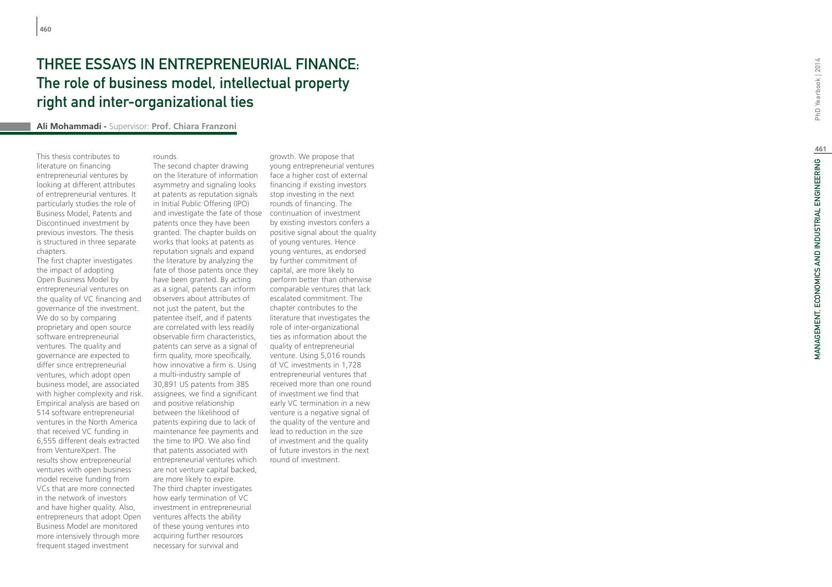# Three essays in Entrepreneurial Finance: The role of business model, intellectual property right and inter-organizational ties

#### **Ali Mohammadi -** Supervisor: **Prof. Chiara Franzoni**

rounds.

This thesis contributes to literature on financing entrepreneurial ventures by looking at different attributes of entrepreneurial ventures. It particularly studies the role of Business Model, Patents and Discontinued investment by previous investors. The thesis is structured in three separate chapters.

The first chapter investigates the impact of adopting Open Business Model by entrepreneurial ventures on the quality of VC financing and governance of the investment. We do so by comparing proprietary and open source software entrepreneurial ventures. The quality and governance are expected to differ since entrepreneurial ventures, which adopt open business model, are associated with higher complexity and risk. Empirical analysis are based on 514 software entrepreneurial ventures in the North America that received VC funding in 6,555 different deals extracted from VentureXpert. The results show entrepreneurial ventures with open business model receive funding from VCs that are more connected in the network of investors and have higher quality. Also, entrepreneurs that adopt Open Business Model are monitored more intensively through more frequent staged investment

on the literature of information asymmetry and signaling looks at patents as reputation signals in Initial Public Offering (IPO)

The second chapter drawing

and investigate the fate of those patents once they have been granted. The chapter builds on works that looks at patents as reputation signals and expand the literature by analyzing the fate of those patents once they have been granted. By acting as a signal, patents can inform observers about attributes of not just the patent, but the patentee itself, and if patents are correlated with less readily observable firm characteristics, patents can serve as a signal of firm quality, more specifically, how innovative a firm is. Using a multi-industry sample of 30,891 US patents from 385 assignees, we find a significant and positive relationship between the likelihood of patents expiring due to lack of maintenance fee payments and the time to IPO. We also find that patents associated with entrepreneurial ventures which are not venture capital backed, are more likely to expire. The third chapter investigates how early termination of VC investment in entrepreneurial ventures affects the ability of these young ventures into acquiring further resources necessary for survival and

growth. We propose that young entrepreneurial ventures face a higher cost of external financing if existing investors stop investing in the next rounds of financing. The continuation of investment by existing investors confers a positive signal about the quality of young ventures. Hence young ventures, as endorsed by further commitment of capital, are more likely to perform better than otherwise comparable ventures that lack escalated commitment. The chapter contributes to the literature that investigates the role of inter-organizational ties as information about the quality of entrepreneurial venture. Using 5,016 rounds of VC investments in 1,728 entrepreneurial ventures that received more than one round of investment we find that early VC termination in a new venture is a negative signal of the quality of the venture and lead to reduction in the size of investment and the quality of future investors in the next round of investment.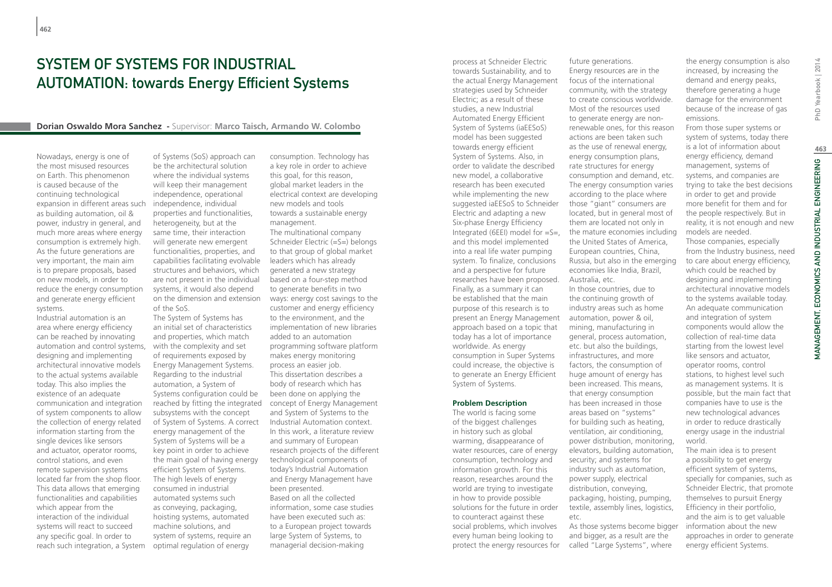## System of Systems for Industrial **AUTOMATION: towards Energy Efficient Systems**

#### **Dorian Oswaldo Mora Sanchez -** Supervisor: **Marco Taisch, Armando W. Colombo**

Nowadays, energy is one of the most misused resources on Earth. This phenomenon is caused because of the continuing technological expansion in different areas such as building automation, oil & power, industry in general, and much more areas where energy consumption is extremely high. As the future generations are very important, the main aim is to prepare proposals, based on new models, in order to reduce the energy consumption and generate energy efficient systems.

Industrial automation is an area where energy efficiency can be reached by innovating automation and control systems, designing and implementing architectural innovative models to the actual systems available today. This also implies the existence of an adequate communication and integration of system components to allow the collection of energy related information starting from the single devices like sensors and actuator, operator rooms, control stations, and even remote supervision systems located far from the shop floor. This data allows that emerging functionalities and capabilities which appear from the interaction of the individual systems will react to succeed any specific goal. In order to reach such integration, a System of Systems (SoS) approach can be the architectural solution where the individual systems will keep their management independence, operational independence, individual properties and functionalities, heterogeneity, but at the same time, their interaction will generate new emergent functionalities, properties, and capabilities facilitating evolvable structures and behaviors, which are not present in the individual systems, it would also depend on the dimension and extension of the SoS.

The System of Systems has an initial set of characteristics and properties, which match with the complexity and set of requirements exposed by Energy Management Systems. Regarding to the industrial automation, a System of Systems configuration could be subsystems with the concept of System of Systems. A correct energy management of the System of Systems will be a key point in order to achieve the main goal of having energy efficient System of Systems. The high levels of energy consumed in industrial automated systems such as conveying, packaging, hoisting systems, automated machine solutions, and system of systems, require an optimal regulation of energy

reached by fitting the integrated concept of Energy Management consumption. Technology has a key role in order to achieve this goal, for this reason, global market leaders in the electrical context are developing new models and tools towards a sustainable energy management. The multinational company Schneider Electric (=S=) belongs to that group of global market leaders which has already generated a new strategy based on a four-step method to generate benefits in two ways: energy cost savings to the customer and energy efficiency to the environment, and the implementation of new libraries added to an automation programming software platform makes energy monitoring process an easier job. This dissertation describes a body of research which has been done on applying the and System of Systems to the Industrial Automation context. In this work, a literature review and summary of European research projects of the different technological components of today's Industrial Automation and Energy Management have been presented. Based on all the collected information, some case studies have been executed such as: to a European project towards large System of Systems, to managerial decision-making

process at Schneider Electric towards Sustainability, and to the actual Energy Management strategies used by Schneider Electric; as a result of these studies, a new Industrial Automated Energy Efficient System of Systems (iaEESoS) model has been suggested towards energy efficient System of Systems. Also, in order to validate the described new model, a collaborative research has been executed while implementing the new suggested iaEESoS to Schneider Electric and adapting a new Six-phase Energy Efficiency Integrated (6EEI) model for =S=, the mature economies including and this model implemented into a real life water pumping system. To finalize, conclusions and a perspective for future researches have been proposed. Finally, as a summary it can be established that the main purpose of this research is to present an Energy Management approach based on a topic that today has a lot of importance worldwide. As energy consumption in Super Systems could increase, the objective is to generate an Energy Efficient System of Systems.

#### **Problem Description**

The world is facing some of the biggest challenges in history such as global warming, disappearance of water resources, care of energy consumption, technology and information growth. For this reason, researches around the world are trying to investigate in how to provide possible solutions for the future in order to counteract against these social problems, which involves every human being looking to protect the energy resources for

future generations. Energy resources are in the focus of the international community, with the strategy to create conscious worldwide. Most of the resources used to generate energy are nonrenewable ones, for this reason actions are been taken such as the use of renewal energy, energy consumption plans, rate structures for energy consumption and demand, etc. The energy consumption varies according to the place where those "giant" consumers are located, but in general most of them are located not only in the United States of America, European countries, China, Russia, but also in the emerging economies like India, Brazil, Australia, etc. In those countries, due to the continuing growth of industry areas such as home automation, power & oil, mining, manufacturing in general, process automation, etc. but also the buildings, infrastructures, and more factors, the consumption of huge amount of energy has been increased. This means, that energy consumption has been increased in those areas based on "systems" for building such as heating, ventilation, air conditioning, power distribution, monitoring, elevators, building automation,

security; and systems for industry such as automation, power supply, electrical distribution, conveying, packaging, hoisting, pumping, textile, assembly lines, logistics,

As those systems become bigger and bigger, as a result are the called "Large Systems", where

etc.

the energy consumption is also increased, by increasing the demand and energy peaks, therefore generating a huge damage for the environment because of the increase of gas emissions.

From those super systems or system of systems, today there is a lot of information about energy efficiency, demand management, systems of systems, and companies are trying to take the best decisions in order to get and provide more benefit for them and for the people respectively. But in reality, it is not enough and new models are needed. Those companies, especially

from the Industry business, need to care about energy efficiency, which could be reached by designing and implementing architectural innovative models to the systems available today. An adequate communication and integration of system components would allow the collection of real-time data starting from the lowest level like sensors and actuator, operator rooms, control stations, to highest level such as management systems. It is possible, but the main fact that companies have to use is the new technological advances in order to reduce drastically energy usage in the industrial world.

The main idea is to present a possibility to get energy efficient system of systems, specially for companies, such as Schneider Electric, that promote themselves to pursuit Energy Efficiency in their portfolio, and the aim is to get valuable information about the new approaches in order to generate energy efficient Systems.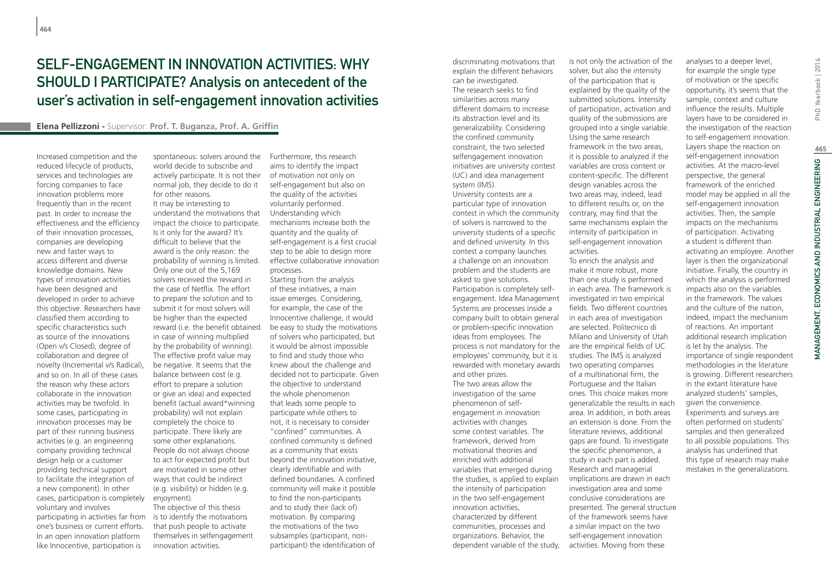# SELF-ENGAGEMENT IN INNOVATION ACTIVITIES. WHY SHOULD I PARTICIPATE? Analysis on antecedent of the user's activation in self-engagement innovation activities

### **Elena Pellizzoni -** Supervisor: **Prof. T. Buganza, Prof. A. Griffin**

Increased competition and the reduced lifecycle of products, services and technologies are forcing companies to face innovation problems more frequently than in the recent past. In order to increase the effectiveness and the efficiency of their innovation processes, companies are developing new and faster ways to access different and diverse knowledge domains. New types of innovation activities have been designed and developed in order to achieve this objective. Researchers have classified them according to specific characteristics such as source of the innovations (Open v/s Closed), degree of collaboration and degree of novelty (Incremental v/s Radical), and so on. In all of these cases the reason why these actors collaborate in the innovation activities may be twofold. In some cases, participating in innovation processes may be part of their running business activities (e.g. an engineering company providing technical design help or a customer providing technical support to facilitate the integration of a new component). In other cases, participation is completely voluntary and involves participating in activities far from one's business or current efforts. In an open innovation platform like Innocentive, participation is

spontaneous: solvers around the Furthermore, this research world decide to subscribe and actively participate. It is not their normal job, they decide to do it for other reasons. It may be interesting to understand the motivations that impact the choice to participate. Is it only for the award? It's difficult to believe that the award is the only reason: the probability of winning is limited. Only one out of the 5,169 solvers received the reward in the case of Netflix. The effort to prepare the solution and to submit it for most solvers will be higher than the expected reward (i.e. the benefit obtained in case of winning multiplied by the probability of winning). The effective profit value may be negative. It seems that the balance between cost (e.g. effort to prepare a solution or give an idea) and expected benefit (actual award\*winning probability) will not explain completely the choice to participate. There likely are some other explanations. People do not always choose to act for expected profit but are motivated in some other ways that could be indirect (e.g. visibility) or hidden (e.g. enjoyment). The objective of this thesis

is to identify the motivations that push people to activate themselves in selfengagement innovation activities.

aims to identify the impact of motivation not only on self-engagement but also on the quality of the activities voluntarily performed. Understanding which mechanisms increase both the quantity and the quality of self-engagement is a first crucial step to be able to design more effective collaborative innovation processes.

Starting from the analysis of these initiatives, a main issue emerges. Considering, for example, the case of the Innocentive challenge, it would be easy to study the motivations of solvers who participated, but it would be almost impossible to find and study those who knew about the challenge and decided not to participate. Given the objective to understand the whole phenomenon that leads some people to participate while others to not, it is necessary to consider "confined" communities. A confined community is defined as a community that exists beyond the innovation initiative, clearly identifiable and with defined boundaries. A confined community will make it possible to find the non-participants and to study their (lack of) motivation. By comparing the motivations of the two subsamples (participant, nonparticipant) the identification of

can be investigated. The research seeks to find similarities across many different domains to increase its abstraction level and its generalizability. Considering the confined community constraint, the two selected selfengagement innovation initiatives are university contest (UC) and idea management system (IMS). University contests are a particular type of innovation contest in which the community of solvers is narrowed to the university students of a specific and defined university. In this contest a company launches a challenge on an innovation problem and the students are asked to give solutions. Participation is completely selfengagement. Idea Management Systems are processes inside a company built to obtain general or problem-specific innovation ideas from employees. The process is not mandatory for the employees' community, but it is rewarded with monetary awards and other prizes. The two areas allow the investigation of the same phenomenon of selfengagement in innovation activities with changes some contest variables. The framework, derived from motivational theories and enriched with additional variables that emerged during the studies, is applied to explain the intensity of participation in the two self-engagement innovation activities, characterized by different communities, processes and organizations. Behavior, the dependent variable of the study,

discriminating motivations that explain the different behaviors

is not only the activation of the solver, but also the intensity of the participation that is explained by the quality of the submitted solutions. Intensity of participation, activation and quality of the submissions are grouped into a single variable. Using the same research framework in the two areas, it is possible to analyzed if the variables are cross content or content-specific. The different design variables across the two areas may, indeed, lead to different results or, on the contrary, may find that the same mechanisms explain the intensity of participation in self-engagement innovation activities. To enrich the analysis and make it more robust, more than one study is performed in each area. The framework is investigated in two empirical fields. Two different countries in each area of investigation are selected. Politecnico di Milano and University of Utah are the empirical fields of UC studies. The IMS is analyzed two operating companies

of a multinational firm, the Portuguese and the Italian ones. This choice makes more generalizable the results in each area. In addition, in both areas an extension is done. From the literature reviews, additional gaps are found. To investigate the specific phenomenon, a study in each part is added. Research and managerial implications are drawn in each investigation area and some conclusive considerations are presented. The general structure of the framework seems have a similar impact on the two

self-engagement innovation activities. Moving from these

PhD Yearbook | 2014 MANAGEMENT, ECONOMICS AND INDUSTRIAL ENGINEERING PhD Yearbook | 2014 MANAGEMENT, ECONOMICS AND INDUSTRIAL ENGINEERING | A

layer is then the organizational initiative. Finally, the country in which the analysis is performed impacts also on the variables in the framework. The values and the culture of the nation, indeed, impact the mechanism of reactions. An important additional research implication is let by the analysis. The importance of single respondent methodologies in the literature is growing. Different researchers in the extant literature have analyzed students' samples, given the convenience. Experiments and surveys are often performed on students' samples and then generalized to all possible populations. This analysis has underlined that this type of research may make mistakes in the generalizations.

analyses to a deeper level, for example the single type of motivation or the specific opportunity, it's seems that the sample, context and culture influence the results. Multiple layers have to be considered in the investigation of the reaction to self-engagement innovation. Layers shape the reaction on self-engagement innovation activities. At the macro-level perspective, the general framework of the enriched model may be applied in all the self-engagement innovation activities. Then, the sample impacts on the mechanisms of participation. Activating a student is different than activating an employee. Another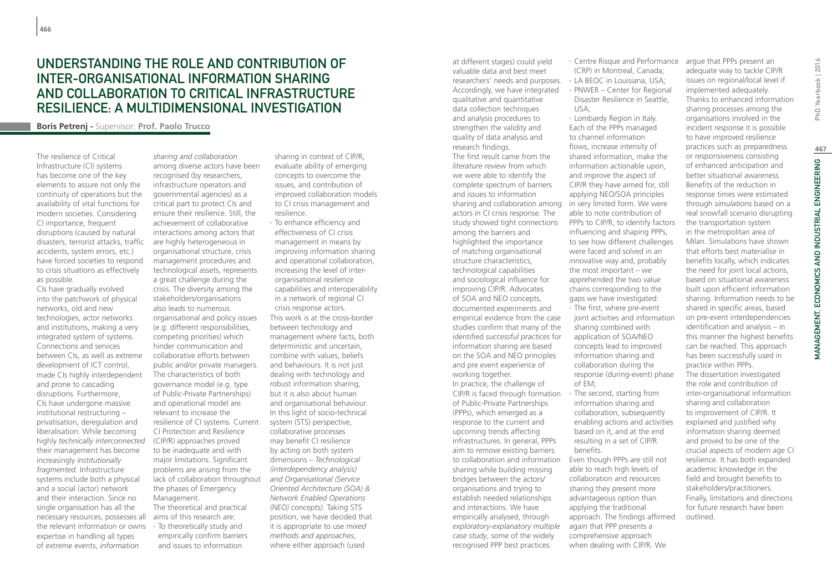### Understanding the role and contribution of inter-organisational information sharing and collaboration to Critical Infrastructure resilience: a multidimensional investigation

**Boris Petrenj -** Supervisor: **Prof. Paolo Trucco**

The resilience of Critical Infrastructure (CI) systems has become one of the key elements to assure not only the continuity of operations but the availability of vital functions for modern societies. Considering CI importance, frequent disruptions (caused by natural disasters, terrorist attacks, traffic accidents, system errors, etc.) have forced societies to respond to crisis situations as effectively as possible.

CIs have gradually evolved into the patchwork of physical networks, old and new technologies, actor networks and institutions, making a very integrated system of systems. Connections and services between CIs, as well as extreme development of ICT control, made CIs highly interdependent and prone to cascading disruptions. Furthermore, CIs have undergone massive institutional restructuring – privatisation, deregulation and liberalisation. While becoming highly *technically interconnected* their management has become increasingly *institutionally fragmented*. Infrastructure systems include both a physical and a social (actor) network and their interaction. Since no single organisation has all the necessary resources, possesses all the relevant information or owns expertise in handling all types of extreme events, *information* 

*sharing and collaboration* among diverse actors have been recognised (by researchers, infrastructure operators and governmental agencies) as a critical part to protect CIs and ensure their resilience. Still, the achievement of collaborative interactions among actors that are highly heterogeneous in organisational structure, crisis management procedures and technological assets, represents a great challenge during the crisis. The diversity among the stakeholders/organisations also leads to numerous organisational and policy issues (e.g. different responsibilities, competing priorities) which hinder communication and collaborative efforts between public and/or private managers. The characteristics of both governance model (e.g. type of Public-Private Partnerships) and operational model are relevant to increase the resilience of CI systems. Current CI Protection and Resilience (CIP/R) approaches proved to be inadequate and with major limitations. Significant problems are arising from the lack of collaboration throughout the phases of Emergency Management. The theoretical and practical aims of this research are: ∙ To theoretically study and empirically confirm barriers and issues to information

sharing in context of CIP/R, evaluate ability of emerging concepts to overcome the issues, and contribution of improved collaboration models to CI crisis management and resilience.

∙ To enhance efficiency and effectiveness of CI crisis management in means by improving information sharing and operational collaboration, increasing the level of interorganisational resilience capabilities and interoperability in a network of regional CI crisis response actors. This work is at the cross-border between technology and management where facts, both deterministic and uncertain, combine with values, beliefs and behaviours. It is not just dealing with technology and robust information sharing, but it is also about human and organisational behaviour. In this light of socio-technical system (STS) perspective, collaborative processes may benefit CI resilience by acting on both system dimensions – *Technological (interdependency analysis) and Organisational (Service Oriented Architecture (SOA) & Network Enabled Operations (NEO) concepts)*. Taking STS position, we have decided that it is appropriate to use *mixed methods and approaches*, where either approach (used

valuable data and best meet researchers' needs and purposes. ∙ LA BEOC in Louisiana, USA; Accordingly, we have integrated qualitative and quantitative data collection techniques and analysis procedures to strengthen the validity and quality of data analysis and research findings. The first result came from the *literature review* from which we were able to identify the complete spectrum of barriers and issues to information sharing and collaboration among actors in CI crisis response. The study showed tight connections among the barriers and highlighted the importance of matching organisational structure characteristics, technological capabilities and sociological influence for improving CIP/R. Advocates of SOA and NEO concepts, documented experiments and empirical evidence from the case studies confirm that many of the identified *successful practices* for information sharing are based on the SOA and NEO principles and pre event experience of working together. In practice, the challenge of CIP/R is faced through formation of Public-Private Partnerships (PPPs), which emerged as a response to the current and upcoming trends affecting infrastructures. In general, PPPs aim to remove existing barriers to collaboration and information sharing while building missing bridges between the actors/ organisations and trying to establish needed relationships and interactions. We have empirically analysed, through *exploratory-explanatory multiple case study*, some of the widely recognised PPP best practices:

at different stages) could yield

∙ Centre Risque and Performance (CRP) in Montreal, Canada; ∙ PNWER – Center for Regional Disaster Resilience in Seattle,

USA; ∙ Lombardy Region in Italy.

Each of the PPPs managed to channel information flows, increase intensity of shared information, make the information actionable upon, and improve the aspect of CIP/R they have aimed for, still applying NEO/SOA principles in very limited form. We were able to note contribution of PPPs to CIP/R, to identify factors influencing and shaping PPPs, to see how different challenges were faced and solved in an innovative way and, probably the most important – we apprehended the two value chains corresponding to the gaps we have investigated: ∙ The first, where pre-event joint activities and information sharing combined with application of SOA/NEO concepts lead to improved information sharing and collaboration during the response (during-event) phase of EM;

∙ The second, starting from information sharing and collaboration, subsequently enabling actions and activities based on it, and at the end resulting in a set of CIP/R benefits.

Even though PPPs are still not able to reach high levels of collaboration and resources sharing they present more advantageous option than applying the traditional approach. The findings affirmed again that PPP presents a comprehensive approach when dealing with CIP/R. We

argue that PPPs present an adequate way to tackle CIP/R issues on regional/local level if implemented adequately. Thanks to enhanced information sharing processes among the organisations involved in the incident response it is possible to have improved resilience practices such as preparedness or responsiveness consisting of enhanced anticipation and better situational awareness. Benefits of the reduction in response times were estimated through *simulations* based on a real snowfall scenario disrupting the transportation system in the metropolitan area of Milan. Simulations have shown that efforts best materialise in benefits locally, which indicates the need for joint local actions, based on situational awareness built upon efficient information sharing. Information needs to be shared in specific areas, based on pre-event interdependencies identification and analysis – in this manner the highest benefits can be reached. This approach has been successfully used in practice within PPPs. The dissertation investigated the role and contribution of inter-organisational information sharing and collaboration to improvement of CIP/R. It explained and justified why information sharing deemed and proved to be one of the crucial aspects of modern age CI resilience. It has both expanded

academic knowledge in the field and brought benefits to stakeholders/practitioners. Finally, limitations and directions for future research have been outlined.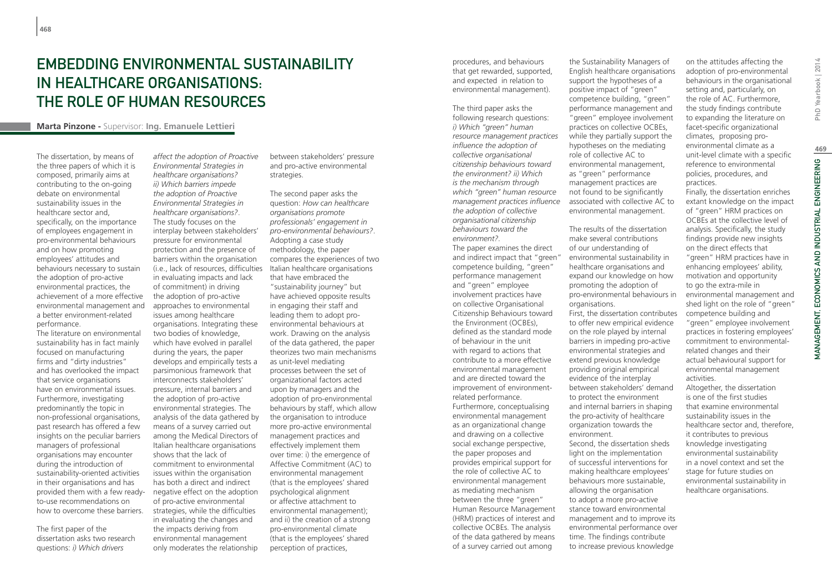# EMBEDDING ENVIRONMENTAL SUSTAINABILITY IN HEALTHCARE ORGANISATIONS: THE ROLE OF HUMAN RESOURCES

#### **Marta Pinzone -** Supervisor: **Ing. Emanuele Lettieri**

The dissertation, by means of the three papers of which it is composed, primarily aims at contributing to the on-going debate on environmental sustainability issues in the healthcare sector and, specifically, on the importance of employees engagement in pro-environmental behaviours and on how promoting employees' attitudes and behaviours necessary to sustain the adoption of pro-active environmental practices, the achievement of a more effective environmental management and a better environment-related performance.

The literature on environmental sustainability has in fact mainly focused on manufacturing firms and "dirty industries" and has overlooked the impact that service organisations have on environmental issues. Furthermore, investigating predominantly the topic in non-professional organisations, past research has offered a few insights on the peculiar barriers managers of professional organisations may encounter during the introduction of sustainability-oriented activities in their organisations and has provided them with a few readyto-use recommendations on how to overcome these barriers.

The first paper of the dissertation asks two research questions: *i) Which drivers* 

*affect the adoption of Proactive Environmental Strategies in healthcare organisations? ii) Which barriers impede the adoption of Proactive Environmental Strategies in healthcare organisations?*. The study focuses on the interplay between stakeholders' pressure for environmental protection and the presence of barriers within the organisation (i.e., lack of resources, difficulties in evaluating impacts and lack of commitment) in driving the adoption of pro-active approaches to environmental issues among healthcare organisations. Integrating these two bodies of knowledge, which have evolved in parallel during the years, the paper develops and empirically tests a parsimonious framework that interconnects stakeholders' pressure, internal barriers and the adoption of pro-active environmental strategies. The analysis of the data gathered by means of a survey carried out among the Medical Directors of Italian healthcare organisations shows that the lack of commitment to environmental issues within the organisation has both a direct and indirect negative effect on the adoption of pro-active environmental strategies, while the difficulties in evaluating the changes and the impacts deriving from environmental management only moderates the relationship

between stakeholders' pressure and pro-active environmental strategies.

The second paper asks the question: *How can healthcare organisations promote professionals' engagement in pro-environmental behaviours?*. Adopting a case study methodology, the paper compares the experiences of two Italian healthcare organisations that have embraced the "sustainability journey" but have achieved opposite results in engaging their staff and leading them to adopt proenvironmental behaviours at work. Drawing on the analysis of the data gathered, the paper theorizes two main mechanisms as unit-level mediating processes between the set of organizational factors acted upon by managers and the adoption of pro-environmental behaviours by staff, which allow the organisation to introduce more pro-active environmental management practices and effectively implement them over time: i) the emergence of Affective Commitment (AC) to environmental management (that is the employees' shared psychological alignment or affective attachment to environmental management); and ii) the creation of a strong pro-environmental climate (that is the employees' shared perception of practices,

procedures, and behaviours that get rewarded, supported, and expected in relation to environmental management).

The third paper asks the following research questions: *i) Which "green" human resource management practices influence the adoption of collective organisational citizenship behaviours toward the environment? ii) Which is the mechanism through which "green" human resource management practices influence the adoption of collective organisational citizenship behaviours toward the environment?.* The paper examines the direct and indirect impact that "green" competence building, "green" performance management and "green" employee involvement practices have on collective Organisational Citizenship Behaviours toward the Environment (OCBEs), defined as the standard mode of behaviour in the unit with regard to actions that contribute to a more effective environmental management and are directed toward the improvement of environmentrelated performance. Furthermore, conceptualising environmental management as an organizational change and drawing on a collective social exchange perspective, the paper proposes and provides empirical support for the role of collective AC to environmental management as mediating mechanism between the three "green" Human Resource Management (HRM) practices of interest and collective OCBEs. The analysis of the data gathered by means of a survey carried out among

the Sustainability Managers of English healthcare organisations support the hypotheses of a positive impact of "green" competence building, "green" performance management and "green" employee involvement practices on collective OCBEs, while they partially support the hypotheses on the mediating role of collective AC to environmental management, as "green" performance management practices are not found to be significantly associated with collective AC to environmental management.

The results of the dissertation make several contributions of our understanding of environmental sustainability in healthcare organisations and expand our knowledge on how promoting the adoption of pro-environmental behaviours in organisations.

First, the dissertation contributes to offer new empirical evidence on the role played by internal barriers in impeding pro-active environmental strategies and extend previous knowledge providing original empirical evidence of the interplay between stakeholders' demand to protect the environment and internal barriers in shaping the pro-activity of healthcare organization towards the environment.

Second, the dissertation sheds light on the implementation of successful interventions for making healthcare employees' behaviours more sustainable, allowing the organisation to adopt a more pro-active stance toward environmental management and to improve its environmental performance over time. The findings contribute to increase previous knowledge

on the attitudes affecting the adoption of pro-environmental behaviours in the organisational setting and, particularly, on the role of AC. Furthermore, the study findings contribute to expanding the literature on facet-specific organizational climates, proposing proenvironmental climate as a unit-level climate with a specific reference to environmental policies, procedures, and practices.

Finally, the dissertation enriches extant knowledge on the impact of "green" HRM practices on OCBEs at the collective level of analysis. Specifically, the study findings provide new insights on the direct effects that "green" HRM practices have in enhancing employees' ability, motivation and opportunity to go the extra-mile in environmental management and shed light on the role of "green" competence building and

"green" employee involvement practices in fostering employees' commitment to environmentalrelated changes and their actual behavioural support for environmental management activities.

Altogether, the dissertation is one of the first studies that examine environmental sustainability issues in the healthcare sector and, therefore, it contributes to previous knowledge investigating environmental sustainability in a novel context and set the stage for future studies on environmental sustainability in healthcare organisations.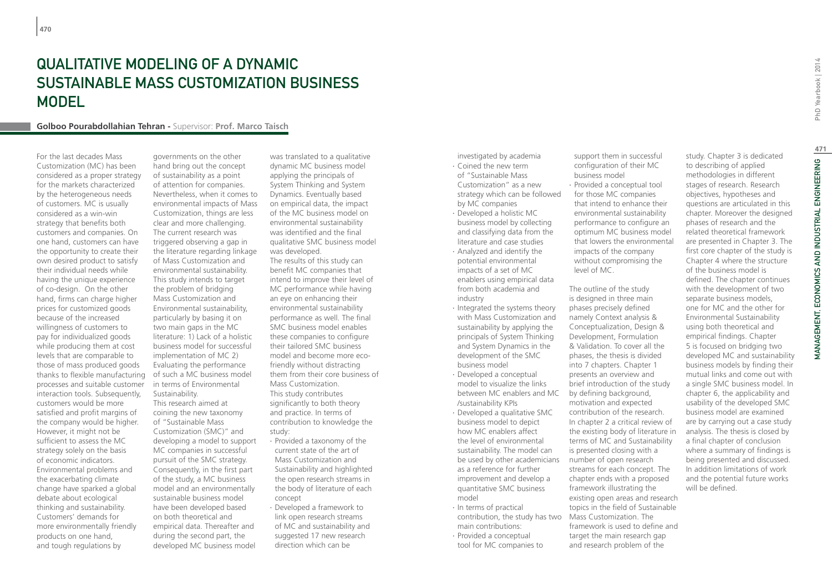# Qualitative Modeling of a Dynamic Sustainable Mass Customization Business **MODEL**

#### **Golboo Pourabdollahian Tehran -** Supervisor: **Prof. Marco Taisch**

For the last decades Mass Customization (MC) has been considered as a proper strategy for the markets characterized by the heterogeneous needs of customers. MC is usually considered as a win-win strategy that benefits both customers and companies. On one hand, customers can have the opportunity to create their own desired product to satisfy their individual needs while having the unique experience of co-design. On the other hand, firms can charge higher prices for customized goods because of the increased willingness of customers to pay for individualized goods while producing them at cost levels that are comparable to those of mass produced goods thanks to flexible manufacturing processes and suitable customer interaction tools. Subsequently, customers would be more satisfied and profit margins of the company would be higher. However, it might not be sufficient to assess the MC strategy solely on the basis of economic indicators. Environmental problems and the exacerbating climate change have sparked a global debate about ecological thinking and sustainability. Customers' demands for more environmentally friendly products on one hand, and tough regulations by

governments on the other hand bring out the concept of sustainability as a point of attention for companies. Nevertheless, when it comes to environmental impacts of Mass Customization, things are less clear and more challenging. The current research was triggered observing a gap in the literature regarding linkage of Mass Customization and environmental sustainability. This study intends to target the problem of bridging Mass Customization and Environmental sustainability, particularly by basing it on two main gaps in the MC literature: 1) Lack of a holistic business model for successful implementation of MC 2) Evaluating the performance of such a MC business model in terms of Environmental Sustainability. This research aimed at coining the new taxonomy of "Sustainable Mass Customization (SMC)" and developing a model to support MC companies in successful pursuit of the SMC strategy. Consequently, in the first part of the study, a MC business model and an environmentally sustainable business model have been developed based on both theoretical and empirical data. Thereafter and during the second part, the developed MC business model

was translated to a qualitative dynamic MC business model applying the principals of System Thinking and System Dynamics. Eventually based on empirical data, the impact of the MC business model on environmental sustainability was identified and the final qualitative SMC business model was developed.

The results of this study can benefit MC companies that intend to improve their level of MC performance while having an eye on enhancing their environmental sustainability performance as well. The final SMC business model enables these companies to configure their tailored SMC business model and become more ecofriendly without distracting them from their core business of Mass Customization. This study contributes significantly to both theory and practice. In terms of contribution to knowledge the study:

- ∙ Provided a taxonomy of the current state of the art of Mass Customization and Sustainability and highlighted the open research streams in the body of literature of each concept
- ∙ Developed a framework to link open research streams of MC and sustainability and suggested 17 new research direction which can be

investigated by academia

- ∙ Coined the new term of "Sustainable Mass Customization" as a new strategy which can be followed by MC companies
- ∙ Developed a holistic MC business model by collecting and classifying data from the literature and case studies
- ∙ Analyzed and identify the potential environmental impacts of a set of MC enablers using empirical data from both academia and industry
- ∙ Integrated the systems theory with Mass Customization and sustainability by applying the principals of System Thinking and System Dynamics in the development of the SMC business model
- ∙ Developed a conceptual model to visualize the links between MC enablers and MC /sustainability KPIs
- ∙ Developed a qualitative SMC business model to depict how MC enablers affect the level of environmental sustainability. The model can be used by other academicians as a reference for further improvement and develop a quantitative SMC business model
- ∙ In terms of practical contribution, the study has two main contributions:
- ∙ Provided a conceptual tool for MC companies to

support them in successful configuration of their MC business model ∙ Provided a conceptual tool for those MC companies that intend to enhance their environmental sustainability performance to configure an optimum MC business model that lowers the environmental impacts of the company without compromising the level of MC.

The outline of the study is designed in three main phases precisely defined namely Context analysis & Conceptualization, Design & Development, Formulation & Validation. To cover all the phases, the thesis is divided into 7 chapters. Chapter 1 presents an overview and brief introduction of the study by defining background, motivation and expected contribution of the research. In chapter 2 a critical review of the existing body of literature in terms of MC and Sustainability is presented closing with a number of open research streams for each concept. The chapter ends with a proposed framework illustrating the existing open areas and research topics in the field of Sustainable Mass Customization. The framework is used to define and target the main research gap and research problem of the

study. Chapter 3 is dedicated to describing of applied methodologies in different stages of research. Research objectives, hypotheses and questions are articulated in this chapter. Moreover the designed phases of research and the related theoretical framework are presented in Chapter 3. The first core chapter of the study is Chapter 4 where the structure of the business model is defined. The chapter continues with the development of two separate business models, one for MC and the other for Environmental Sustainability using both theoretical and empirical findings. Chapter 5 is focused on bridging two developed MC and sustainability business models by finding their mutual links and come out with a single SMC business model. In chapter 6, the applicability and usability of the developed SMC business model are examined are by carrying out a case study analysis. The thesis is closed by a final chapter of conclusion where a summary of findings is being presented and discussed. In addition limitations of work and the potential future works will be defined.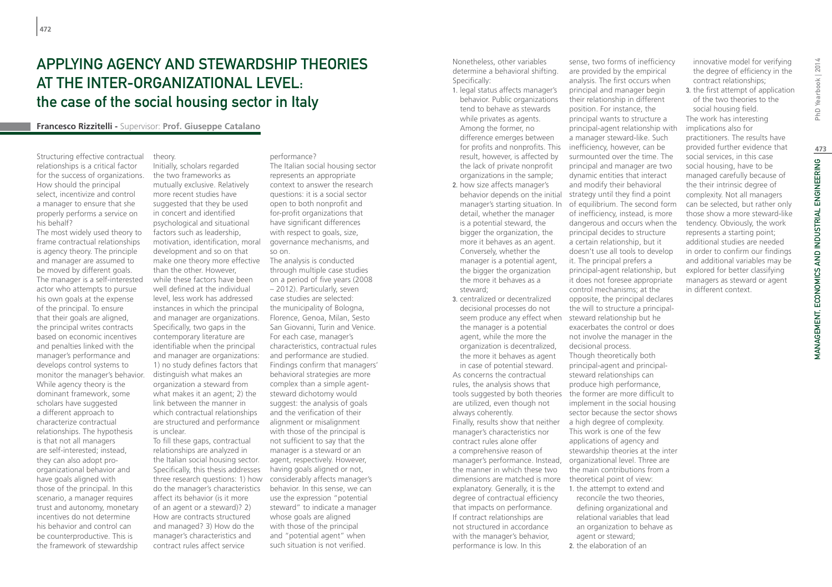# Applying agency and stewardship theories at the inter-organizational level: the case of the social housing sector in Italy

**Francesco Rizzitelli -** Supervisor: **Prof. Giuseppe Catalano**

Structuring effective contractual relationships is a critical factor for the success of organizations. How should the principal select, incentivize and control a manager to ensure that she properly performs a service on his behalf?

The most widely used theory to frame contractual relationships is agency theory. The principle and manager are assumed to be moved by different goals. The manager is a self-interested actor who attempts to pursue his own goals at the expense of the principal. To ensure that their goals are aligned, the principal writes contracts based on economic incentives and penalties linked with the manager's performance and develops control systems to monitor the manager's behavior. While agency theory is the dominant framework, some scholars have suggested a different approach to characterize contractual relationships. The hypothesis is that not all managers are self-interested; instead, they can also adopt proorganizational behavior and have goals aligned with those of the principal. In this scenario, a manager requires trust and autonomy, monetary incentives do not determine his behavior and control can be counterproductive. This is the framework of stewardship

theory. Initially, scholars regarded the two frameworks as mutually exclusive. Relatively more recent studies have suggested that they be used in concert and identified psychological and situational factors such as leadership, motivation, identification, moral development and so on that make one theory more effective than the other. However, while these factors have been well defined at the individual level, less work has addressed instances in which the principal and manager are organizations. Specifically, two gaps in the contemporary literature are identifiable when the principal and manager are organizations: 1) no study defines factors that distinguish what makes an organization a steward from what makes it an agent; 2) the link between the manner in which contractual relationships are structured and performance is unclear.

To fill these gaps, contractual relationships are analyzed in the Italian social housing sector. Specifically, this thesis addresses three research questions: 1) how do the manager's characteristics affect its behavior (is it more of an agent or a steward)? 2) How are contracts structured and managed? 3) How do the manager's characteristics and contract rules affect service

#### performance?

The Italian social housing sector represents an appropriate context to answer the research questions: it is a social sector open to both nonprofit and for-profit organizations that have significant differences with respect to goals, size. governance mechanisms, and so on.

The analysis is conducted through multiple case studies on a period of five years (2008 – 2012). Particularly, seven case studies are selected: the municipality of Bologna, Florence, Genoa, Milan, Sesto San Giovanni, Turin and Venice. For each case, manager's characteristics, contractual rules and performance are studied. Findings confirm that managers' behavioral strategies are more complex than a simple agentsteward dichotomy would suggest: the analysis of goals and the verification of their alignment or misalignment with those of the principal is not sufficient to say that the manager is a steward or an agent, respectively. However, having goals aligned or not, considerably affects manager's behavior. In this sense, we can use the expression "potential steward" to indicate a manager whose goals are aligned with those of the principal and "potential agent" when such situation is not verified.

Nonetheless, other variables determine a behavioral shifting. Specifically:

1. legal status affects manager's behavior. Public organizations tend to behave as stewards while privates as agents. Among the former, no difference emerges between for profits and nonprofits. This result, however, is affected by the lack of private nonprofit organizations in the sample;

- 2. how size affects manager's behavior depends on the initial manager's starting situation. In detail, whether the manager is a potential steward, the bigger the organization, the more it behaves as an agent. Conversely, whether the manager is a potential agent, the bigger the organization the more it behaves as a steward;
- 3. centralized or decentralized decisional processes do not seem produce any effect when steward relationship but he the manager is a potential agent, while the more the organization is decentralized, the more it behaves as agent in case of potential steward. As concerns the contractual rules, the analysis shows that tools suggested by both theories are utilized, even though not always coherently. Finally, results show that neither manager's characteristics nor contract rules alone offer a comprehensive reason of

manager's performance. Instead, the manner in which these two dimensions are matched is more explanatory. Generally, it is the degree of contractual efficiency that impacts on performance. If contract relationships are not structured in accordance with the manager's behavior, performance is low. In this

sense, two forms of inefficiency are provided by the empirical analysis. The first occurs when principal and manager begin their relationship in different position. For instance, the principal wants to structure a principal-agent relationship with a manager steward-like. Such inefficiency, however, can be surmounted over the time. The principal and manager are two dynamic entities that interact and modify their behavioral strategy until they find a point of equilibrium. The second form of inefficiency, instead, is more dangerous and occurs when the principal decides to structure a certain relationship, but it doesn't use all tools to develop it. The principal prefers a principal-agent relationship, but it does not foresee appropriate control mechanisms; at the opposite, the principal declares the will to structure a principalexacerbates the control or does not involve the manager in the decisional process. Though theoretically both principal-agent and principalsteward relationships can produce high performance, the former are more difficult to implement in the social housing sector because the sector shows a high degree of complexity. This work is one of the few

innovative model for verifying the degree of efficiency in the contract relationships;

3. the first attempt of application of the two theories to the social housing field.

The work has interesting implications also for practitioners. The results have provided further evidence that social services, in this case social housing, have to be managed carefully because of the their intrinsic degree of complexity. Not all managers can be selected, but rather only those show a more steward-like tendency. Obviously, the work represents a starting point; additional studies are needed in order to confirm our findings and additional variables may be explored for better classifying managers as steward or agent in different context.

applications of agency and stewardship theories at the inter organizational level. Three are the main contributions from a theoretical point of view: 1. the attempt to extend and

reconcile the two theories, defining organizational and relational variables that lead an organization to behave as agent or steward;

2. the elaboration of an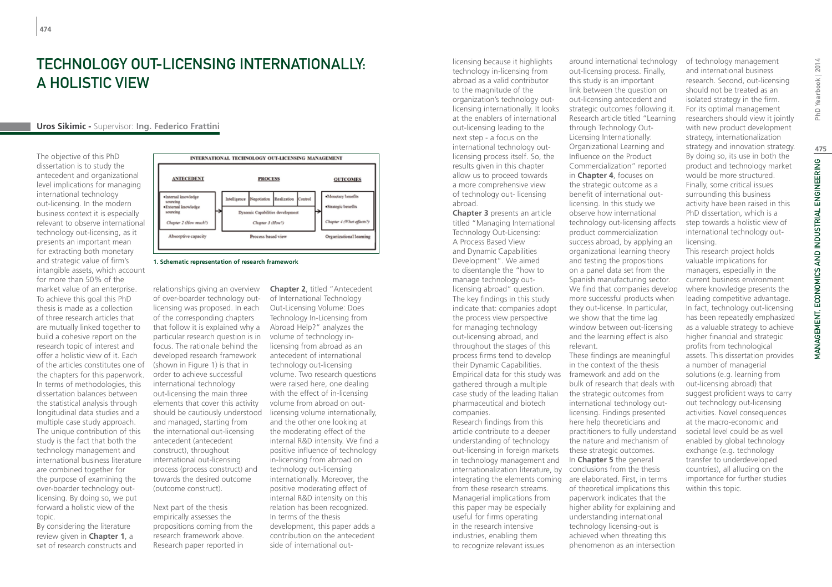# TECHNOLOGY OUT-LICENSING INTERNATIONALLY A Holistic View

### **Uros Sikimic -** Supervisor: **Ing. Federico Frattini**

The objective of this PhD dissertation is to study the antecedent and organizational level implications for managing international technology out-licensing. In the modern business context it is especially relevant to observe international technology out-licensing, as it presents an important mean for extracting both monetary and strategic value of firm's intangible assets, which account for more than 50% of the market value of an enterprise. To achieve this goal this PhD thesis is made as a collection of three research articles that are mutually linked together to build a cohesive report on the research topic of interest and offer a holistic view of it. Each of the articles constitutes one of (shown in Figure 1) is that in the chapters for this paperwork. In terms of methodologies, this dissertation balances between the statistical analysis through longitudinal data studies and a multiple case study approach. The unique contribution of this study is the fact that both the technology management and international business literature are combined together for the purpose of examining the over-boarder technology outlicensing. By doing so, we put forward a holistic view of the topic.

By considering the literature review given in **Chapter 1**, a set of research constructs and



**1. Schematic representation of research framework**

relationships giving an overview of over-boarder technology outlicensing was proposed. In each of the corresponding chapters that follow it is explained why a particular research question is in focus. The rationale behind the developed research framework order to achieve successful international technology out-licensing the main three elements that cover this activity should be cautiously understood licensing volume internationally, and managed, starting from the international out-licensing antecedent (antecedent construct), throughout international out-licensing process (process construct) and towards the desired outcome (outcome construct).

Next part of the thesis empirically assesses the propositions coming from the research framework above. Research paper reported in

**Chapter 2**, titled "Antecedent of International Technology Out-Licensing Volume: Does Technology In-Licensing from Abroad Help?" analyzes the volume of technology inlicensing from abroad as an antecedent of international technology out-licensing volume. Two research questions were raised here, one dealing with the effect of in-licensing volume from abroad on outand the other one looking at the moderating effect of the internal R&D intensity. We find a positive influence of technology in-licensing from abroad on technology out-licensing internationally. Moreover, the positive moderating effect of internal R&D intensity on this relation has been recognized. In terms of the thesis development, this paper adds a contribution on the antecedent side of international outlicensing because it highlights technology in-licensing from abroad as a valid contributor to the magnitude of the organization's technology outlicensing internationally. It looks at the enablers of international out-licensing leading to the next step - a focus on the international technology outlicensing process itself. So, the results given in this chapter allow us to proceed towards a more comprehensive view of technology out- licensing abroad.

**Chapter 3** presents an article titled "Managing International Technology Out-Licensing: A Process Based View and Dynamic Capabilities Development". We aimed to disentangle the "how to manage technology outlicensing abroad" question. The key findings in this study indicate that: companies adopt the process view perspective for managing technology out-licensing abroad, and throughout the stages of this process firms tend to develop their Dynamic Capabilities. Empirical data for this study was gathered through a multiple case study of the leading Italian pharmaceutical and biotech companies.

Research findings from this article contribute to a deeper understanding of technology out-licensing in foreign markets in technology management and internationalization literature, by integrating the elements coming are elaborated. First, in terms from these research streams. Managerial implications from this paper may be especially useful for firms operating in the research intensive industries, enabling them to recognize relevant issues

around international technology out-licensing process. Finally, this study is an important link between the question on out-licensing antecedent and strategic outcomes following it. Research article titled "Learning through Technology Out-Licensing Internationally: Organizational Learning and Influence on the Product Commercialization" reported in **Chapter 4**, focuses on the strategic outcome as a benefit of international outlicensing. In this study we observe how international technology out-licensing affects product commercialization success abroad, by applying an organizational learning theory and testing the propositions on a panel data set from the Spanish manufacturing sector. We find that companies develop more successful products when they out-license. In particular, we show that the time lag window between out-licensing and the learning effect is also relevant. These findings are meaningful

in the context of the thesis framework and add on the bulk of research that deals with the strategic outcomes from international technology outlicensing. Findings presented here help theoreticians and practitioners to fully understand the nature and mechanism of these strategic outcomes. In **Chapter 5** the general conclusions from the thesis of theoretical implications this paperwork indicates that the higher ability for explaining and understanding international technology licensing-out is achieved when threating this phenomenon as an intersection

of technology management and international business research. Second, out-licensing should not be treated as an isolated strategy in the firm. For its optimal management researchers should view it jointly with new product development strategy, internationalization strategy and innovation strategy. By doing so, its use in both the product and technology market would be more structured. Finally, some critical issues surrounding this business activity have been raised in this PhD dissertation, which is a step towards a holistic view of international technology outlicensing.

This research project holds valuable implications for managers, especially in the current business environment where knowledge presents the leading competitive advantage. In fact, technology out-licensing has been repeatedly emphasized as a valuable strategy to achieve higher financial and strategic profits from technological assets. This dissertation provides a number of managerial solutions (e.g. learning from out-licensing abroad) that suggest proficient ways to carry out technology out-licensing activities. Novel consequences at the macro-economic and societal level could be as well enabled by global technology exchange (e.g. technology transfer to underdeveloped countries), all alluding on the importance for further studies within this topic.